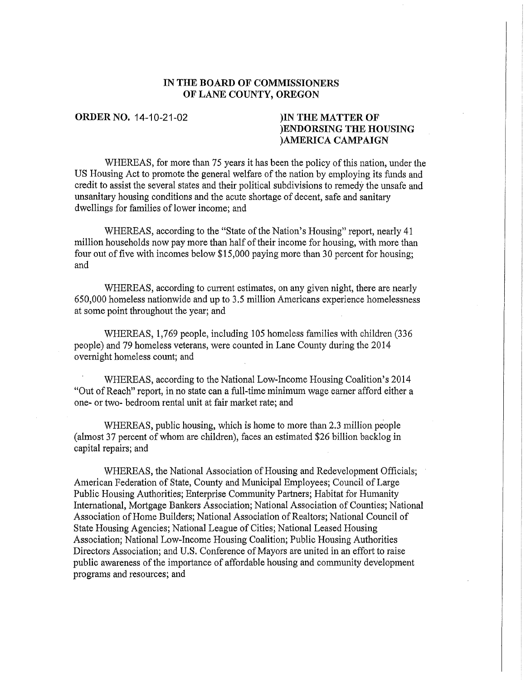## IN THE BOARD OF COMMISSIONERS OF LANE COUNTY, OREGON

## ORDERNO. 14-10-21-02 )IN THE MATTER OF )ENDORSING THE HOUSING )AMERICA CAMPAIGN

WHEREAS, for more than 75 years it has been the policy of this nation, under the US Housing Act to promote the general welfare of the nation by employing its funds and credit to assist the several states and their political subdivisions to remedy the unsafe and unsanitary housing conditions and the acute shortage of decent, safe and sanitary dwellings for families of lower income; and

WHEREAS, according to the "State of the Nation's Housing" report, nearly 41 million households now pay more than half of their income for housing, with more than four out of five with incomes below \$15,000 paying more than 30 percent for housing; and

WHEREAS, according to current estimates, on any given night, there are nearly 650,000 homeless nationwide and up to 3.5 million Americans experience homelessness at some point throughout the year; and

WHEREAS, 1,769 people, including 105 homeless families with children (336 people) and 79 homeless veterans, were counted in Lane County during the 2014 overnight homeless count; and

WHEREAS, according to the National Low-Income Housing Coalition's 2014 "Out of Reach" report, in no state can a full-time minimum wage earner afford either a one- or two- bedroom rental unit at fair market rate; and

WHEREAS, public housing, which is home to more than 2.3 million people (almost 37 percent of whom are children), faces an estimated \$26 billion backlog in capital repairs; and

WHEREAS, the National Association of Housing and Redevelopment Officials; American Federation of State, County and Municipal Employees; Council of Large Public Housing Authorities; Enterprise Community Partners; Habitat for Humanity International, Mortgage Bankers Association; National Association of Counties; National Association of Home Builders; National Association of Realtors; National Council of State Housing Agencies; National League of Cities; National Leased Housing Association; National Low-Income Housing Coalition; Public Housing Authorities Directors Association; and U.S. Conference of Mayors are united in an effort to raise public awareness of the importance of affordable housing and community development programs and resources; and